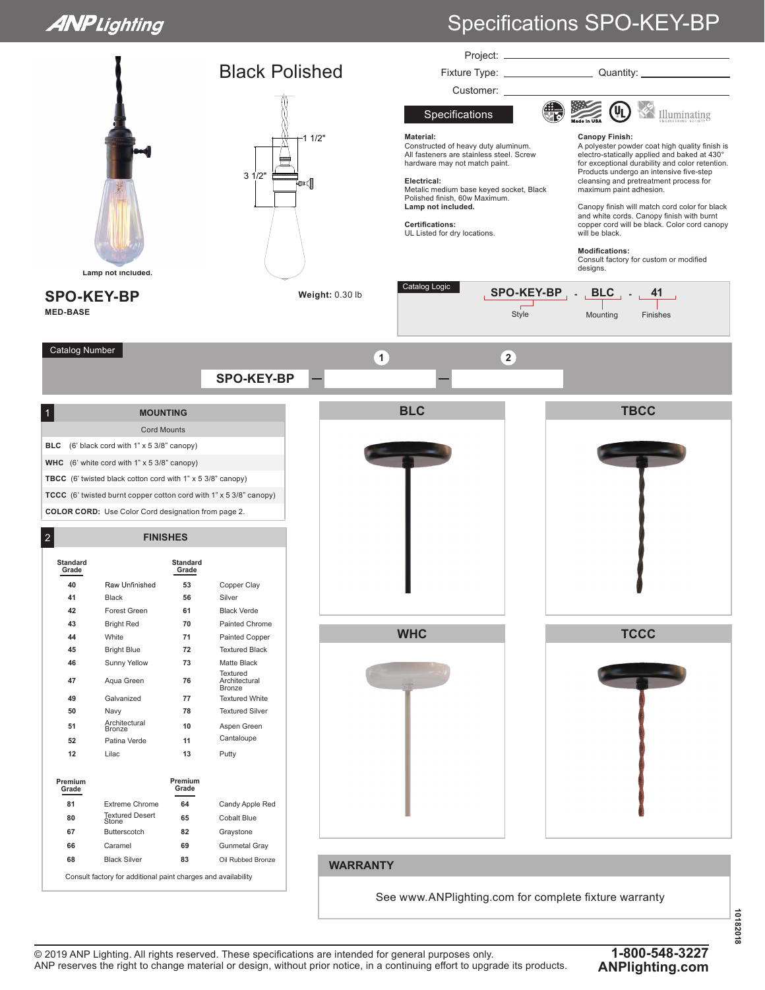## **ANPLighting**

## Specifications SPO-KEY-BP



© 2019 ANP Lighting. All rights reserved. These specifications are intended for general purposes only. ANP reserves the right to change material or design, without prior notice, in a continuing effort to upgrade its products.